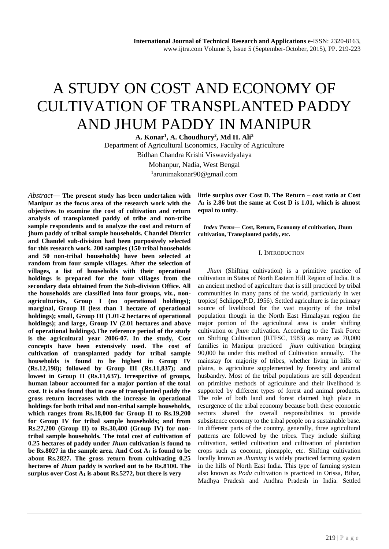# A STUDY ON COST AND ECONOMY OF CULTIVATION OF TRANSPLANTED PADDY AND JHUM PADDY IN MANIPUR

**A. Konar<sup>1</sup> , A. Choudhury<sup>2</sup> , Md H. Ali<sup>3</sup>** Department of Agricultural Economics, Faculty of Agriculture Bidhan Chandra Krishi Viswavidyalaya Mohanpur, Nadia, West Bengal 1 arunimakonar90@gmail.com

*Abstract***— The present study has been undertaken with Manipur as the focus area of the research work with the objectives to examine the cost of cultivation and return analysis of transplanted paddy of tribe and non-tribe sample respondents and to analyze the cost and return of jhum paddy of tribal sample households. Chandel District and Chandel sub-division had been purposively selected for this research work. 200 samples (150 tribal households and 50 non-tribal households) have been selected at random from four sample villages. After the selection of villages, a list of households with their operational holdings is prepared for the four villages from the secondary data obtained from the Sub-division Office. All the households are classified into four groups, viz., nonagriculturists, Group I (no operational holdings); marginal, Group II (less than 1 hectare of operational holdings); small, Group III (1.01-2 hectares of operational holdings); and large, Group IV (2.01 hectares and above of operational holdings).The reference period of the study is the agricultural year 2006-07. In the study, Cost concepts have been extensively used. The cost of cultivation of transplanted paddy for tribal sample households is found to be highest in Group IV (Rs.12,198); followed by Group III (Rs.11,837); and lowest in Group II (Rs.11,637). Irrespective of groups, human labour accounted for a major portion of the total cost. It is also found that in case of transplanted paddy the gross return increases with the increase in operational holdings for both tribal and non-tribal sample households, which ranges from Rs.18,000 for Group II to Rs.19,200 for Group IV for tribal sample households; and from Rs.27,200 (Group II) to Rs.30,400 (Group IV) for nontribal sample households. The total cost of cultivation of 0.25 hectares of paddy under** *Jhum* **cultivation is found to be Rs.8027 in the sample area. And Cost A<sup>1</sup> is found to be about Rs.2827. The gross return from cultivating 0.25 hectares of** *Jhum* **paddy is worked out to be Rs.8100. The surplus over Cost A<sup>1</sup> is about Rs.5272, but there is very** 

**little surplus over Cost D. The Return – cost ratio at Cost A<sup>1</sup> is 2.86 but the same at Cost D is 1.01, which is almost equal to unity.**

*Index Terms***— Cost, Return, Economy of cultivation, Jhum cultivation, Transplanted paddy, etc.**

#### I. INTRODUCTION

*Jhum* (Shifting cultivation) is a primitive practice of cultivation in States of North Eastern Hill Region of India. It is an ancient method of agriculture that is still practiced by tribal communities in many parts of the world, particularly in wet tropics( Schlippe,P.D, 1956). Settled agriculture is the primary source of livelihood for the vast majority of the tribal population though in the North East Himalayan region the major portion of the agricultural area is under shifting cultivation or *jhum* cultivation. According to the Task Force on Shifting Cultivation (RTFSC, 1983) as many as 70,000 families in Manipur practiced *jhum* cultivation bringing 90,000 ha under this method of Cultivation annually. The mainstay for majority of tribes, whether living in hills or plains, is agriculture supplemented by forestry and animal husbandry. Most of the tribal populations are still dependent on primitive methods of agriculture and their livelihood is supported by different types of forest and animal products. The role of both land and forest claimed high place in resurgence of the tribal economy because both these economic sectors shared the overall responsibilities to provide subsistence economy to the tribal people on a sustainable base. In different parts of the country, generally, three agricultural patterns are followed by the tribes. They include shifting cultivation, settled cultivation and cultivation of plantation crops such as coconut, pineapple, etc. Shifting cultivation locally known as *Jhuming* is widely practiced farming system in the hills of North East India. This type of farming system also known as *Podu* cultivation is practiced in Orissa, Bihar, Madhya Pradesh and Andhra Pradesh in India. Settled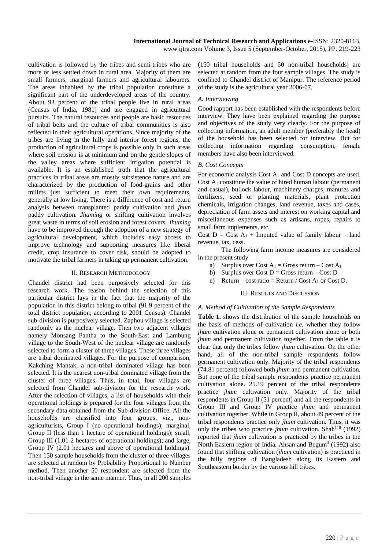cultivation is followed by the tribes and semi-tribes who are more or less settled down in rural area. Majority of them are small farmers, marginal farmers and agricultural labourers. The areas inhabited by the tribal population constitute a significant part of the underdeveloped areas of the country. About 93 percent of the tribal people live in rural areas (Census of India, 1981) and are engaged in agricultural pursuits. The natural resources and people are basic resources of tribal belts and the culture of tribal communities is also reflected in their agricultural operations. Since majority of the tribes are living in the hilly and interior forest regions, the production of agricultural crops is possible only in such areas where soil erosion is at minimum and on the gentle slopes of the valley areas where sufficient irrigation potential is available. It is an established truth that the agricultural practices in tribal areas are mostly subsistence nature and are characterized by the production of food-grains and other millets just sufficient to meet their own requirements, generally at low living. There is a difference of cost and return analysis between transplanted paddy cultivation and *jhum*  paddy cultivation. *Jhuming* or shifting cultivation involves great waste in terms of soil erosion and forest covers. *Jhuming* have to be improved through the adoption of a new strategy of agricultural development, which includes easy access to improve technology and supporting measures like liberal credit, crop insurance to cover risk, should be adopted to motivate the tribal farmers in taking up permanent cultivation.

#### II. RESEARCH METHODOLOGY

Chandel district had been purposively selected for this research work. The reason behind the selection of this particular district lays in the fact that the majority of the population in this district belong to tribal (91.9 percent of the total district population, according to 2001 Census). Chandel sub-division is purposively selected. Zaphou village is selected randomly as the nuclear village. Then two adjacent villages namely Monsang Pantha to the South-East and Lambung village to the South-West of the nuclear village are randomly selected to form a cluster of three villages. These three villages are tribal dominated villages. For the purpose of comparison, Kakching Mantak, a non-tribal dominated village has been selected. It is the nearest non-tribal dominated village from the cluster of three villages. Thus, in total, four villages are selected from Chandel sub-division for the research work. After the selection of villages, a list of households with their operational holdings is prepared for the four villages from the secondary data obtained from the Sub-division Office. All the households are classified into four groups, viz., nonagriculturists, Group I (no operational holdings); marginal, Group II (less than 1 hectare of operational holdings); small, Group III (1.01-2 hectares of operational holdings); and large, Group IV (2.01 hectares and above of operational holdings). Then 150 sample households from the cluster of three villages are selected at random by Probability Proportional to Number method. Then another 50 respondent are selected from the non-tribal village in the same manner. Thus, in all 200 samples

(150 tribal households and 50 non-tribal households) are selected at random from the four sample villages. The study is confined to Chandel district of Manipur. The reference period of the study is the agricultural year 2006-07.

#### *A. Interviewing*

Good rapport has been established with the respondents before interview. They have been explained regarding the purpose and objectives of the study very clearly. For the purpose of collecting information, an adult member (preferably the head) of the household has been selected for interview. But for collecting information regarding consumption, female members have also been interviewed.

#### *B. Cost Concepts*

For economic analysis Cost A<sub>1</sub> and Cost D concepts are used. Cost  $A_1$  constitute the value of hired human labour (permanent and casual), bullock labour, machinery charges, manures and fertilizers, seed or planting materials, plant protection chemicals, irrigation changes, land revenue, taxes and cases, depreciation of farm assets and interest on working capital and miscellaneous expenses such as artisans, ropes, repairs to small farm implements, etc.

Cost  $D = Cost A_1 + Imputed value of family labour - land$ revenue, tax, cess.

The following farm income measures are considered in the present study –

- a) Surplus over Cost  $A_1$  = Gross return Cost  $A_1$
- b) Surplus over Cost  $D =$  Gross return Cost D
- c) Return cost ratio = Return / Cost A<sub>1</sub> or Cost D.

#### III. RESULTS AND DISCUSSION

#### *A. Method of Cultivation of the Sample Respondents*

**Table 1.** shows the distribution of the sample households on the basis of methods of cultivation *i.e.* whether they follow *jhum* cultivation alone or permanent cultivation alone or both *jhum* and permanent cultivation together. From the table it is clear that only the tribes follow *jhum* cultivation. On the other hand, all of the non-tribal sample respondents follow permanent cultivation only. Majority of the tribal respondents (74.81 percent) followed both *jhum* and permanent cultivation. But none of the tribal sample respondents practice permanent cultivation alone. 25.19 percent of the tribal respondents practice *jhum* cultivation only. Majority of the tribal respondents in Group II (51 percent) and all the respondents in Group III and Group IV practice *jhum* and permanent cultivation together. While in Group II, about 49 percent of the tribal respondents practice only *jhum* cultivation. Thus, it was only the tribes who practice *jhum* cultivation. Shah<sup>118</sup> (1992) reported that *jhum* cultivation is practiced by the tribes in the North Eastern region of India. Ahsan and Begum<sup>3</sup> (1992) also found that shifting cultivation (*jhum* cultivation) is practiced in the hilly regions of Bangladesh along its Eastern and Southeastern border by the various hill tribes.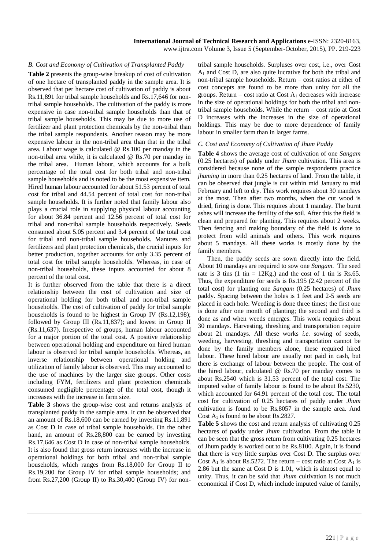#### *B. Cost and Economy of Cultivation of Transplanted Paddy*

**Table 2** presents the group-wise breakup of cost of cultivation of one hectare of transplanted paddy in the sample area. It is observed that per hectare cost of cultivation of paddy is about Rs.11,891 for tribal sample households and Rs.17,646 for nontribal sample households. The cultivation of the paddy is more expensive in case non-tribal sample households than that of tribal sample households. This may be due to more use of fertilizer and plant protection chemicals by the non-tribal than the tribal sample respondents. Another reason may be more expensive labour in the non-tribal area than that in the tribal area. Labour wage is calculated @ Rs.100 per manday in the non-tribal area while, it is calculated @ Rs.70 per manday in the tribal area. Human labour, which accounts for a bulk percentage of the total cost for both tribal and non-tribal sample households and is noted to be the most expensive item. Hired human labour accounted for about 51.53 percent of total cost for tribal and 44.54 percent of total cost for non-tribal sample households. It is further noted that family labour also plays a crucial role in supplying physical labour accounting for about 36.84 percent and 12.56 percent of total cost for tribal and non-tribal sample households respectively. Seeds consumed about 5.05 percent and 3.4 percent of the total cost for tribal and non-tribal sample households. Manures and fertilizers and plant protection chemicals, the crucial inputs for better production, together accounts for only 3.35 percent of total cost for tribal sample households. Whereas, in case of non-tribal households, these inputs accounted for about 8 percent of the total cost.

It is further observed from the table that there is a direct relationship between the cost of cultivation and size of operational holding for both tribal and non-tribal sample households. The cost of cultivation of paddy for tribal sample households is found to be highest in Group IV (Rs.12,198); followed by Group III (Rs.11,837); and lowest in Group II (Rs.11,637). Irrespective of groups, human labour accounted for a major portion of the total cost. A positive relationship between operational holding and expenditure on hired human labour is observed for tribal sample households. Whereas, an inverse relationship between operational holding and utilization of family labour is observed. This may accounted to the use of machines by the larger size groups. Other costs including FYM, fertilizers and plant protection chemicals consumed negligible percentage of the total cost, though it increases with the increase in farm size.

**Table 3** shows the group-wise cost and returns analysis of transplanted paddy in the sample area. It can be observed that an amount of Rs.18,600 can be earned by investing Rs.11,891 as Cost D in case of tribal sample households. On the other hand, an amount of Rs.28,800 can be earned by investing Rs.17,646 as Cost D in case of non-tribal sample households. It is also found that gross return increases with the increase in operational holdings for both tribal and non-tribal sample households, which ranges from Rs.18,000 for Group II to Rs.19,200 for Group IV for tribal sample households; and from Rs.27,200 (Group II) to Rs.30,400 (Group IV) for nontribal sample households. Surpluses over cost, i.e., over Cost  $A_1$  and Cost D, are also quite lucrative for both the tribal and non-tribal sample households. Return – cost ratios at either of cost concepts are found to be more than unity for all the groups. Return – cost ratio at Cost  $A_1$  decreases with increase in the size of operational holdings for both the tribal and nontribal sample households. While the return – cost ratio at Cost D increases with the increases in the size of operational holdings. This may be due to more dependence of family labour in smaller farm than in larger farms.

#### *C. Cost and Economy of Cultivation of Jhum Paddy*

**Table 4** shows the average cost of cultivation of one *Sangam* (0.25 hectares) of paddy under *Jhum* cultivation. This area is considered because none of the sample respondents practice *jhuming* in more than 0.25 hectares of land. From the table, it can be observed that jungle is cut within mid January to mid February and left to dry. This work requires about 30 mandays at the most. Then after two months, when the cut wood is dried, firing is done. This requires about 1 manday. The burnt ashes will increase the fertility of the soil. After this the field is clean and prepared for planting. This requires about 2 weeks. Then fencing and making boundary of the field is done to protect from wild animals and others. This work requires about 5 mandays. All these works is mostly done by the family members.

Then, the paddy seeds are sown directly into the field. About 10 mandays are required to sow one *Sangam*. The seed rate is 3 tins (1 tin =  $12Kg$ .) and the cost of 1 tin is Rs.65. Thus, the expenditure for seeds is Rs.195 (2.42 percent of the total cost) for planting one *Sangam* (0.25 hectares) of *Jhum* paddy. Spacing between the holes is 1 feet and 2-5 seeds are placed in each hole. Weeding is done three times; the first one is done after one month of planting; the second and third is done as and when weeds emerges. This work requires about 30 mandays. Harvesting, threshing and transportation require about 21 mandays. All these works *i.e.* sowing of seeds, weeding, harvesting, threshing and transportation cannot be done by the family members alone, these required hired labour. These hired labour are usually not paid in cash, but there is exchange of labour between the people. The cost of the hired labour, calculated @ Rs.70 per manday comes to about Rs.2540 which is 31.53 percent of the total cost. The imputed value of family labour is found to be about Rs.5230, which accounted for 64.91 percent of the total cost. The total cost for cultivation of 0.25 hectares of paddy under *Jhum* cultivation is found to be Rs.8057 in the sample area. And Cost  $A_1$  is found to be about Rs.2827.

**Table 5** shows the cost and return analysis of cultivating 0.25 hectares of paddy under *Jhum* cultivation. From the table it can be seen that the gross return from cultivating 0.25 hectares of Jhum paddy is worked out to be Rs.8100. Again, it is found that there is very little surplus over Cost D. The surplus over Cost  $A_1$  is about Rs.5272. The return – cost ratio at Cost  $A_1$  is 2.86 but the same at Cost D is 1.01, which is almost equal to unity. Thus, it can be said that *Jhum* cultivation is not much economical if Cost D, which include imputed value of family,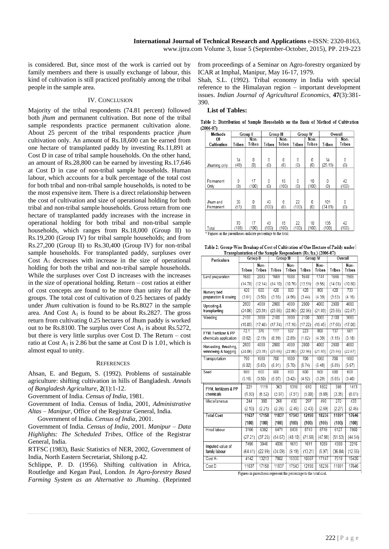is considered. But, since most of the work is carried out by family members and there is usually exchange of labour, this kind of cultivation is still practiced profitably among the tribal people in the sample area.

#### IV. CONCLUSION

Majority of the tribal respondents (74.81 percent) followed both *jhum* and permanent cultivation. But none of the tribal sample respondents practice permanent cultivation alone. About 25 percent of the tribal respondents practice *jhum* cultivation only. An amount of Rs.18,600 can be earned from one hectare of transplanted paddy by investing Rs.11,891 at Cost D in case of tribal sample households. On the other hand, an amount of Rs.28,800 can be earned by investing Rs.17,646 at Cost D in case of non-tribal sample households. Human labour, which accounts for a bulk percentage of the total cost for both tribal and non-tribal sample households, is noted to be the most expensive item. There is a direct relationship between the cost of cultivation and size of operational holding for both tribal and non-tribal sample households. Gross return from one hectare of transplanted paddy increases with the increase in operational holding for both tribal and non-tribal sample households, which ranges from Rs.18,000 (Group II) to Rs.19,200 (Group IV) for tribal sample households; and from Rs.27,200 (Group II) to Rs.30,400 (Group IV) for non-tribal sample households. For transplanted paddy, surpluses over Cost  $A_1$  decreases with increase in the size of operational holding for both the tribal and non-tribal sample households. While the surpluses over Cost D increases with the increases in the size of operational holding. Return – cost ratios at either of cost concepts are found to be more than unity for all the groups. The total cost of cultivation of 0.25 hectares of paddy under *Jhum* cultivation is found to be Rs.8027 in the sample area. And Cost  $A_1$  is found to be about Rs.2827. The gross return from cultivating 0.25 hectares of Jhum paddy is worked out to be Rs.8100. The surplus over Cost  $A_1$  is about Rs.5272, but there is very little surplus over Cost D. The Return – cost ratio at Cost  $A_1$  is 2.86 but the same at Cost D is 1.01, which is almost equal to unity.

#### **REFERENCES**

Ahsan, E. and Begum, S. (1992). Problems of sustainable agriculture: shifting cultivation in hills of Bangladesh. *Annals of Bangladesh Agriculture*, **2**(1):1-12.

Government of India. *Census of India*, 1981.

Government of India. Census of India, 2001, *Administrative Altas* – *Manipur*, Office of the Registrar General, India.

Government of India. *Census of India*, 2001.

Government of India. *Census of India*, 2001. *Manipur – Data Highlights: The Scheduled Tribes*, Office of the Registrar General, India.

RTFSC (1983), Basic Statistics of NER, 2002, Government of India, North Eastern Secretariat, Shilong p.42.

Schlippe, P. D. (1956). Shifting cultivation in Africa, Routledge and Kegan Paul, London. *In Agro-forestry Based Farming System as an Alternative to Jhuming*. (Reprinted

from proceedings of a Seminar on Agro-forestry organized by ICAR at Imphal, Manipur, May 16-17, 1979.

Shah, S.L. (1992). Tribal economy in India with special reference to the Himalayan region – important development issues. *Indian Journal of Agricultural Economics*, **47**(3):381- 390.

### **List of Tables:**

Table 1: Distribution of Sample Households on the Basis of Method of Cultivation  $(2006 - 07)$ 

| <b>Methods</b> | Group II      |        | Group III     |               | Group IV |               | Overall       |               |
|----------------|---------------|--------|---------------|---------------|----------|---------------|---------------|---------------|
| <b>Of</b>      |               | Non-   |               | Non-          |          | Non-          |               | Non-          |
| Cultivation    | <b>Tribes</b> | Tribes | <b>Tribes</b> | <b>Tribes</b> | Tribes   | <b>Tribes</b> | <b>Tribes</b> | <b>Tribes</b> |
| Jhuming only   | 34            | 0      | 0             | 0             | 0        | 0             | 34            | 0             |
|                | (49)          | (0)    | (0)           | (0)           | (0)      | (0)           | (25.19)       | (0)           |
|                |               |        |               |               |          |               |               |               |
| Permanent      | 0             | 17     | 0             | 15            | 0        | 10            | 0             | 42            |
| Only           | (0)           | (100)  | (0)           | (100)         | (0)      | (100)         | (0)           | (100)         |
| Jhum and       | 36            | 0      | 43            | 0             | 22       | 0             | 101           | 0             |
| Permanent      | (51)          | (0)    | (100)         | (0)           | (100)    | (0)           | (74.81)       | (0)           |
| Total          | 70            | 17     | 43            | 15            | 22       | 10            | 135           | 42            |
|                | (100)         | (100)  | (100)         | (100)         | (100)    | (100)         | (100)         | (100)         |

\* Figures in the parentheses indicate percentage to the total.

Table 2: Group-Wise Breakup of Cost of Cultivation of One Hectare of Paddy under .<br>neplantation of the Sample Respondents (Rs /ha.) (2006-07)

| <b>Particulars</b>     |               | <b>Group II</b>       |               | ттанулантатон от тне защрее кезронченту (кулна.) (2000-07)<br><b>Group III</b> |               | <b>Group IV</b>       |               | Overall               |
|------------------------|---------------|-----------------------|---------------|--------------------------------------------------------------------------------|---------------|-----------------------|---------------|-----------------------|
|                        | <b>Tribes</b> | Non-<br><b>Tribes</b> | <b>Tribes</b> | Non-<br><b>Tribes</b>                                                          | <b>Tribes</b> | Non-<br><b>Tribes</b> | <b>Tribes</b> | Non-<br><b>Tribes</b> |
| Land preparation       | 1680          | 2083                  | 1669          | 1888                                                                           | 1648          | 1744                  | 1666          | 1905                  |
|                        | (14.78)       | (12.14)               | (14.10)       | (10.76)                                                                        | (13.51)       | (9.56)                | (14.01)       | (10.80)               |
| Nursery bed            | 420           | 600                   | 420           | 800                                                                            | 420           | 800                   | 420           | 733                   |
| preparation & sowing   | (3.61)        | (3.50)                | (3.55)        | (4.56)                                                                         | (3.44)        | (4.39)                | (3.53)        | (4.16)                |
| Uprooting &            | 2800          | 4000                  | 2800          | 4000                                                                           | 2800          | 4000                  | 2800          | 4000                  |
| transplanting          | (24.06)       | (23.31)               | (23.65)       | (22.80)                                                                        | (22.96)       | (21.93)               | (23.55)       | (22.67)               |
| Weeding                | 2100          | 3000                  | 2100          | 3000                                                                           | 2100          | 3000                  | 2100          | 3000                  |
|                        | (18.05)       | (17.48)               | (17.74)       | (17.10)                                                                        | (17.22)       | (16.45)               | (17.66)       | (17.00)               |
| FYM. Fertilizer & PP   | 72.1          | 376                   | 117           | 507                                                                            | 223           | 800                   | 137           | 561                   |
| chemicals application  | (0.62)        | (2.19)                | (0.99)        | (2.89)                                                                         | (1.82)        | (4.39)                | (1.15)        | (3.18)                |
| Harvesting, threshing, | 2800          | 4000                  | 2800          | 4000                                                                           | 2800          | 4000                  | 2800          | 4000                  |
| winnowing & bagging    | (24.06)       | (23.31)               | (23.65)       | (22.80)                                                                        | (22.96)       | (21.93)               | (23.55)       | (22.67)               |
| Transportation         | 700           | 1000                  | 700           | 1000                                                                           | 700           | 1000                  | 700           | 1000                  |
|                        | (6.02)        | (5.83)                | (5.91)        | (5.70)                                                                         | (5.74)        | (5.48)                | (5.89)        | (5.67)                |
| Seed                   | 600           | 600                   | 600           | 600                                                                            | 600           | 600                   | 600           | 600                   |
|                        | (5.16)        | (3.50)                | (5.07)        | (3.42)                                                                         | (4.92)        | (3.29)                | (5.05)        | (3.40)                |
| FYM, fertilizers & PP  | 221           | 1119                  | 363           | 1318                                                                           | 610           | 1802                  | 398           | 1413                  |
| chemicals              | (1.90)        | (6.52)                | (3.07)        | (7.51)                                                                         | (5.00)        | (9.88)                | (3.35)        | (8.01)                |
| Miscellaneous          | 244           | 380                   | 268           | 430                                                                            | 297           | 490                   | 270           | 433                   |
|                        | (2.10)        | (2.21)                | (2.26)        | (2.45)                                                                         | (2.43)        | (2.69)                | (2.27)        | (2.46)                |
| <b>Total Cost</b>      | 11637         | 17158                 | 11837         | 17543                                                                          | 12198         | 18236                 | 11891         | 17646                 |
|                        | (100)         | (100)                 | (100)         | (100)                                                                          | (100)         | (100)                 | (100)         | (100)                 |
| <b>Hired labour</b>    | 3166          | 6392                  | 6471          | 8438                                                                           | 8743          | 8749                  | 6127          | 7860                  |
|                        | (27.21)       | (37.25)               | (54.67)       | (48.10)                                                                        | (71.68)       | (47.98)               | (51.53)       | (44.54)               |
| Imputed value of       | 7495          | 3945                  | 4035          | 1613                                                                           | 1611          | 1089                  | 4380          | 2216                  |
| family labour          | (64.41)       | (22.99)               | (34.09)       | (9.19)                                                                         | (13.21)       | (5.97)                | (36.84)       | (12.56)               |
| Cost A <sub>1</sub>    | 4142          | 13213                 | 7802          | 15930                                                                          | 10587         | 17147                 | 7510          | 15430                 |
| Cost D                 | 11637         | 17158                 | 11837         | 17543                                                                          | 12198         | 18236                 | 11891         | 17646                 |

Figures in parenthesis represent the percentage to the total cost.